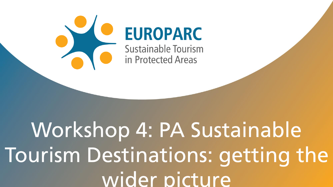

## **EUROPARC**

**Sustainable Tourism** in Protected Areas

## Workshop 4: PA Sustainable Tourism Destinations: getting the wider picture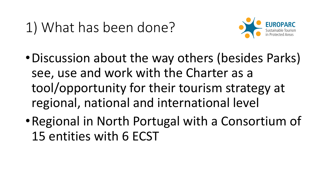## 1) What has been done?



- •Discussion about the way others (besides Parks) see, use and work with the Charter as a tool/opportunity for their tourism strategy at regional, national and international level
- •Regional in North Portugal with a Consortium of 15 entities with 6 ECST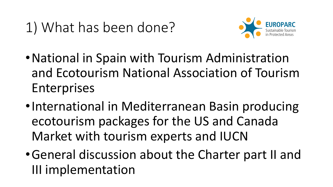

- •National in Spain with Tourism Administration and Ecotourism National Association of Tourism Enterprises
- •International in Mediterranean Basin producing ecotourism packages for the US and Canada Market with tourism experts and IUCN
- •General discussion about the Charter part II and III implementation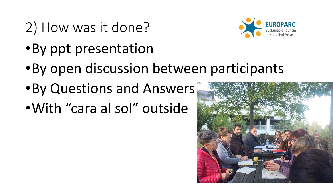- 2) How was it done?
- •By ppt presentation
- •By open discussion between participants
- •By Questions and Answers
- •With "cara al sol" outside



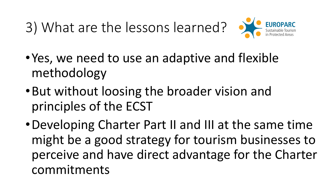3) What are the lessons learned? •



- •Yes, we need to use an adaptive and flexible methodology
- •But without loosing the broader vision and principles of the ECST
- •Developing Charter Part II and III at the same time might be a good strategy for tourism businesses to perceive and have direct advantage for the Charter commitments